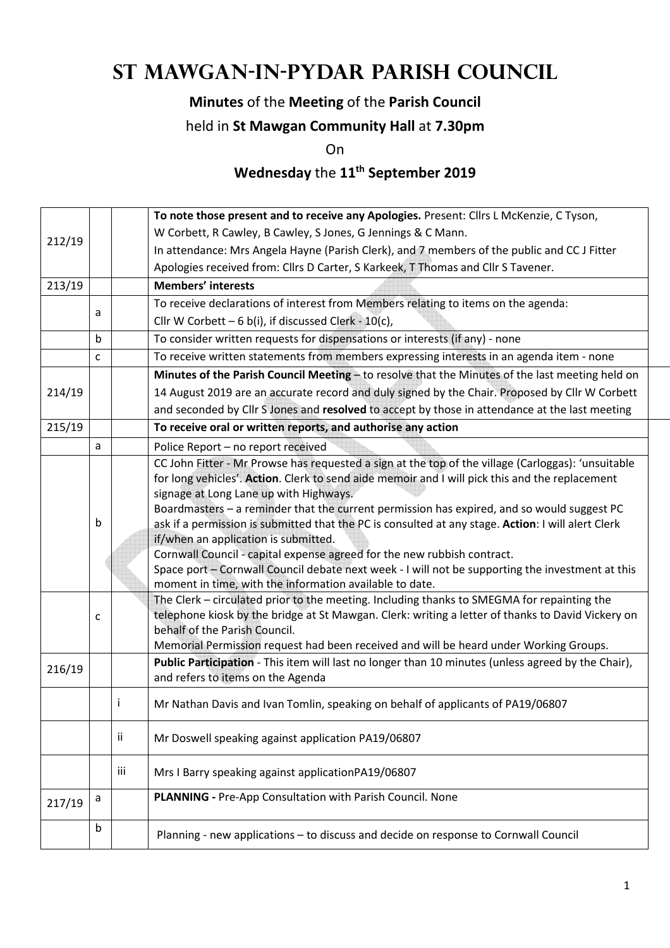# **St Mawgan-in-Pydar Parish Council**

### **Minutes** of the **Meeting** of the **Parish Council**

#### held in **St Mawgan Community Hall** at **7.30pm**

On

## **Wednesday** the **11th September 2019**

|        |              |     | To note those present and to receive any Apologies. Present: Cllrs L McKenzie, C Tyson,                                                                                                                                                                                                                                                                                                                                                                                                                                                                                                                                                                                                                                                                                                                                                                                                                                                                                                                                                                           |  |  |  |
|--------|--------------|-----|-------------------------------------------------------------------------------------------------------------------------------------------------------------------------------------------------------------------------------------------------------------------------------------------------------------------------------------------------------------------------------------------------------------------------------------------------------------------------------------------------------------------------------------------------------------------------------------------------------------------------------------------------------------------------------------------------------------------------------------------------------------------------------------------------------------------------------------------------------------------------------------------------------------------------------------------------------------------------------------------------------------------------------------------------------------------|--|--|--|
| 212/19 |              |     | W Corbett, R Cawley, B Cawley, S Jones, G Jennings & C Mann.                                                                                                                                                                                                                                                                                                                                                                                                                                                                                                                                                                                                                                                                                                                                                                                                                                                                                                                                                                                                      |  |  |  |
|        |              |     | In attendance: Mrs Angela Hayne (Parish Clerk), and 7 members of the public and CC J Fitter                                                                                                                                                                                                                                                                                                                                                                                                                                                                                                                                                                                                                                                                                                                                                                                                                                                                                                                                                                       |  |  |  |
|        |              |     | Apologies received from: Cllrs D Carter, S Karkeek, T Thomas and Cllr S Tavener.                                                                                                                                                                                                                                                                                                                                                                                                                                                                                                                                                                                                                                                                                                                                                                                                                                                                                                                                                                                  |  |  |  |
| 213/19 |              |     | <b>Members' interests</b>                                                                                                                                                                                                                                                                                                                                                                                                                                                                                                                                                                                                                                                                                                                                                                                                                                                                                                                                                                                                                                         |  |  |  |
|        |              |     | To receive declarations of interest from Members relating to items on the agenda:                                                                                                                                                                                                                                                                                                                                                                                                                                                                                                                                                                                                                                                                                                                                                                                                                                                                                                                                                                                 |  |  |  |
|        | a            |     | Cllr W Corbett - 6 b(i), if discussed Clerk - 10(c),                                                                                                                                                                                                                                                                                                                                                                                                                                                                                                                                                                                                                                                                                                                                                                                                                                                                                                                                                                                                              |  |  |  |
|        | b            |     | To consider written requests for dispensations or interests (if any) - none                                                                                                                                                                                                                                                                                                                                                                                                                                                                                                                                                                                                                                                                                                                                                                                                                                                                                                                                                                                       |  |  |  |
|        | $\mathsf{C}$ |     | To receive written statements from members expressing interests in an agenda item - none                                                                                                                                                                                                                                                                                                                                                                                                                                                                                                                                                                                                                                                                                                                                                                                                                                                                                                                                                                          |  |  |  |
|        |              |     | Minutes of the Parish Council Meeting - to resolve that the Minutes of the last meeting held on                                                                                                                                                                                                                                                                                                                                                                                                                                                                                                                                                                                                                                                                                                                                                                                                                                                                                                                                                                   |  |  |  |
| 214/19 |              |     | 14 August 2019 are an accurate record and duly signed by the Chair. Proposed by Cllr W Corbett                                                                                                                                                                                                                                                                                                                                                                                                                                                                                                                                                                                                                                                                                                                                                                                                                                                                                                                                                                    |  |  |  |
|        |              |     | and seconded by Cllr S Jones and resolved to accept by those in attendance at the last meeting                                                                                                                                                                                                                                                                                                                                                                                                                                                                                                                                                                                                                                                                                                                                                                                                                                                                                                                                                                    |  |  |  |
| 215/19 |              |     | To receive oral or written reports, and authorise any action                                                                                                                                                                                                                                                                                                                                                                                                                                                                                                                                                                                                                                                                                                                                                                                                                                                                                                                                                                                                      |  |  |  |
|        | a            |     | Police Report - no report received                                                                                                                                                                                                                                                                                                                                                                                                                                                                                                                                                                                                                                                                                                                                                                                                                                                                                                                                                                                                                                |  |  |  |
|        | b<br>c       |     | CC John Fitter - Mr Prowse has requested a sign at the top of the village (Carloggas): 'unsuitable<br>for long vehicles'. Action. Clerk to send aide memoir and I will pick this and the replacement<br>signage at Long Lane up with Highways.<br>Boardmasters - a reminder that the current permission has expired, and so would suggest PC<br>ask if a permission is submitted that the PC is consulted at any stage. Action: I will alert Clerk<br>if/when an application is submitted.<br>Cornwall Council - capital expense agreed for the new rubbish contract.<br>Space port - Cornwall Council debate next week - I will not be supporting the investment at this<br>moment in time, with the information available to date.<br>The Clerk - circulated prior to the meeting. Including thanks to SMEGMA for repainting the<br>telephone kiosk by the bridge at St Mawgan. Clerk: writing a letter of thanks to David Vickery on<br>behalf of the Parish Council.<br>Memorial Permission request had been received and will be heard under Working Groups. |  |  |  |
| 216/19 |              |     | Public Participation - This item will last no longer than 10 minutes (unless agreed by the Chair),<br>and refers to items on the Agenda                                                                                                                                                                                                                                                                                                                                                                                                                                                                                                                                                                                                                                                                                                                                                                                                                                                                                                                           |  |  |  |
|        |              | ı   | Mr Nathan Davis and Ivan Tomlin, speaking on behalf of applicants of PA19/06807                                                                                                                                                                                                                                                                                                                                                                                                                                                                                                                                                                                                                                                                                                                                                                                                                                                                                                                                                                                   |  |  |  |
|        |              | Ϊİ  | Mr Doswell speaking against application PA19/06807                                                                                                                                                                                                                                                                                                                                                                                                                                                                                                                                                                                                                                                                                                                                                                                                                                                                                                                                                                                                                |  |  |  |
|        |              | iii | Mrs I Barry speaking against applicationPA19/06807                                                                                                                                                                                                                                                                                                                                                                                                                                                                                                                                                                                                                                                                                                                                                                                                                                                                                                                                                                                                                |  |  |  |
| 217/19 | a            |     | PLANNING - Pre-App Consultation with Parish Council. None                                                                                                                                                                                                                                                                                                                                                                                                                                                                                                                                                                                                                                                                                                                                                                                                                                                                                                                                                                                                         |  |  |  |
|        | $\mathsf b$  |     | Planning - new applications - to discuss and decide on response to Cornwall Council                                                                                                                                                                                                                                                                                                                                                                                                                                                                                                                                                                                                                                                                                                                                                                                                                                                                                                                                                                               |  |  |  |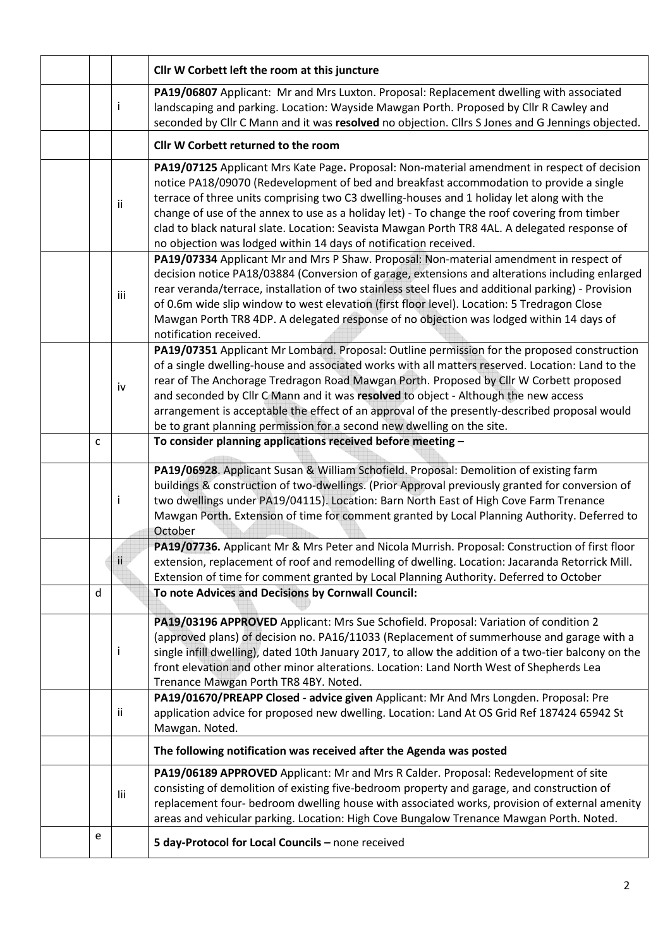|   |              | Cllr W Corbett left the room at this juncture                                                                                                                                                                                                                                                                                                                                                                                                                                                                                                               |  |  |
|---|--------------|-------------------------------------------------------------------------------------------------------------------------------------------------------------------------------------------------------------------------------------------------------------------------------------------------------------------------------------------------------------------------------------------------------------------------------------------------------------------------------------------------------------------------------------------------------------|--|--|
|   | İ            | PA19/06807 Applicant: Mr and Mrs Luxton. Proposal: Replacement dwelling with associated<br>landscaping and parking. Location: Wayside Mawgan Porth. Proposed by Cllr R Cawley and<br>seconded by Cllr C Mann and it was resolved no objection. Cllrs S Jones and G Jennings objected.                                                                                                                                                                                                                                                                       |  |  |
|   |              | Cllr W Corbett returned to the room                                                                                                                                                                                                                                                                                                                                                                                                                                                                                                                         |  |  |
|   | ii.          | PA19/07125 Applicant Mrs Kate Page. Proposal: Non-material amendment in respect of decision<br>notice PA18/09070 (Redevelopment of bed and breakfast accommodation to provide a single<br>terrace of three units comprising two C3 dwelling-houses and 1 holiday let along with the<br>change of use of the annex to use as a holiday let) - To change the roof covering from timber<br>clad to black natural slate. Location: Seavista Mawgan Porth TR8 4AL. A delegated response of<br>no objection was lodged within 14 days of notification received.   |  |  |
|   | iii          | PA19/07334 Applicant Mr and Mrs P Shaw. Proposal: Non-material amendment in respect of<br>decision notice PA18/03884 (Conversion of garage, extensions and alterations including enlarged<br>rear veranda/terrace, installation of two stainless steel flues and additional parking) - Provision<br>of 0.6m wide slip window to west elevation (first floor level). Location: 5 Tredragon Close<br>Mawgan Porth TR8 4DP. A delegated response of no objection was lodged within 14 days of<br>notification received.                                        |  |  |
|   | iv           | PA19/07351 Applicant Mr Lombard. Proposal: Outline permission for the proposed construction<br>of a single dwelling-house and associated works with all matters reserved. Location: Land to the<br>rear of The Anchorage Tredragon Road Mawgan Porth. Proposed by Cllr W Corbett proposed<br>and seconded by Cllr C Mann and it was resolved to object - Although the new access<br>arrangement is acceptable the effect of an approval of the presently-described proposal would<br>be to grant planning permission for a second new dwelling on the site. |  |  |
| C |              | To consider planning applications received before meeting -                                                                                                                                                                                                                                                                                                                                                                                                                                                                                                 |  |  |
|   | Ť            | PA19/06928. Applicant Susan & William Schofield. Proposal: Demolition of existing farm<br>buildings & construction of two-dwellings. (Prior Approval previously granted for conversion of<br>two dwellings under PA19/04115). Location: Barn North East of High Cove Farm Trenance<br>Mawgan Porth. Extension of time for comment granted by Local Planning Authority. Deferred to<br>October                                                                                                                                                               |  |  |
|   | $\mathbf{u}$ | PA19/07736. Applicant Mr & Mrs Peter and Nicola Murrish. Proposal: Construction of first floor<br>extension, replacement of roof and remodelling of dwelling. Location: Jacaranda Retorrick Mill.<br>Extension of time for comment granted by Local Planning Authority. Deferred to October                                                                                                                                                                                                                                                                 |  |  |
| d |              | To note Advices and Decisions by Cornwall Council:                                                                                                                                                                                                                                                                                                                                                                                                                                                                                                          |  |  |
|   | Ť            | PA19/03196 APPROVED Applicant: Mrs Sue Schofield. Proposal: Variation of condition 2<br>(approved plans) of decision no. PA16/11033 (Replacement of summerhouse and garage with a<br>single infill dwelling), dated 10th January 2017, to allow the addition of a two-tier balcony on the<br>front elevation and other minor alterations. Location: Land North West of Shepherds Lea<br>Trenance Mawgan Porth TR8 4BY. Noted.                                                                                                                               |  |  |
|   | ii.          | PA19/01670/PREAPP Closed - advice given Applicant: Mr And Mrs Longden. Proposal: Pre<br>application advice for proposed new dwelling. Location: Land At OS Grid Ref 187424 65942 St<br>Mawgan. Noted.                                                                                                                                                                                                                                                                                                                                                       |  |  |
|   |              | The following notification was received after the Agenda was posted                                                                                                                                                                                                                                                                                                                                                                                                                                                                                         |  |  |
|   | lii          | PA19/06189 APPROVED Applicant: Mr and Mrs R Calder. Proposal: Redevelopment of site<br>consisting of demolition of existing five-bedroom property and garage, and construction of<br>replacement four- bedroom dwelling house with associated works, provision of external amenity<br>areas and vehicular parking. Location: High Cove Bungalow Trenance Mawgan Porth. Noted.                                                                                                                                                                               |  |  |
| e |              | 5 day-Protocol for Local Councils - none received                                                                                                                                                                                                                                                                                                                                                                                                                                                                                                           |  |  |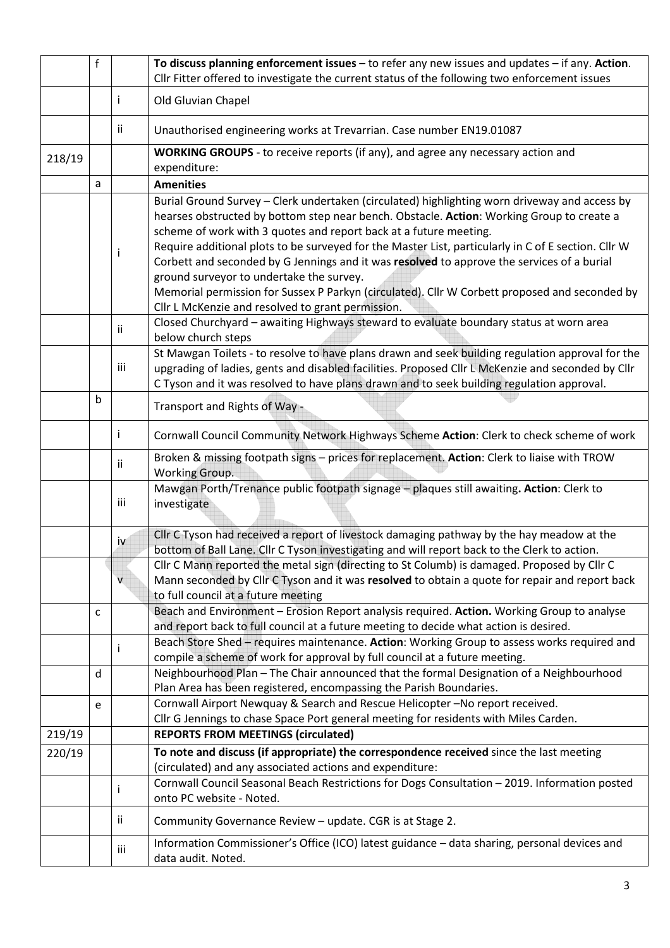|                                                                                                                                                                                                                                                                                                           | $\mathsf{f}$                                                                                                         |                                                                                                                                                     | To discuss planning enforcement issues $-$ to refer any new issues and updates $-$ if any. Action.                                                                                                                                                                                                                                                                                                                                                                                                                                                                                                                                                                     |  |  |  |  |  |
|-----------------------------------------------------------------------------------------------------------------------------------------------------------------------------------------------------------------------------------------------------------------------------------------------------------|----------------------------------------------------------------------------------------------------------------------|-----------------------------------------------------------------------------------------------------------------------------------------------------|------------------------------------------------------------------------------------------------------------------------------------------------------------------------------------------------------------------------------------------------------------------------------------------------------------------------------------------------------------------------------------------------------------------------------------------------------------------------------------------------------------------------------------------------------------------------------------------------------------------------------------------------------------------------|--|--|--|--|--|
|                                                                                                                                                                                                                                                                                                           |                                                                                                                      |                                                                                                                                                     | Cllr Fitter offered to investigate the current status of the following two enforcement issues                                                                                                                                                                                                                                                                                                                                                                                                                                                                                                                                                                          |  |  |  |  |  |
|                                                                                                                                                                                                                                                                                                           |                                                                                                                      | Ť                                                                                                                                                   | Old Gluvian Chapel                                                                                                                                                                                                                                                                                                                                                                                                                                                                                                                                                                                                                                                     |  |  |  |  |  |
|                                                                                                                                                                                                                                                                                                           |                                                                                                                      | ii.                                                                                                                                                 | Unauthorised engineering works at Trevarrian. Case number EN19.01087                                                                                                                                                                                                                                                                                                                                                                                                                                                                                                                                                                                                   |  |  |  |  |  |
| 218/19                                                                                                                                                                                                                                                                                                    |                                                                                                                      |                                                                                                                                                     | WORKING GROUPS - to receive reports (if any), and agree any necessary action and<br>expenditure:                                                                                                                                                                                                                                                                                                                                                                                                                                                                                                                                                                       |  |  |  |  |  |
|                                                                                                                                                                                                                                                                                                           | a                                                                                                                    |                                                                                                                                                     | <b>Amenities</b>                                                                                                                                                                                                                                                                                                                                                                                                                                                                                                                                                                                                                                                       |  |  |  |  |  |
|                                                                                                                                                                                                                                                                                                           |                                                                                                                      |                                                                                                                                                     | Burial Ground Survey - Clerk undertaken (circulated) highlighting worn driveway and access by<br>hearses obstructed by bottom step near bench. Obstacle. Action: Working Group to create a<br>scheme of work with 3 quotes and report back at a future meeting.<br>Require additional plots to be surveyed for the Master List, particularly in C of E section. Cllr W<br>Corbett and seconded by G Jennings and it was resolved to approve the services of a burial<br>ground surveyor to undertake the survey.<br>Memorial permission for Sussex P Parkyn (circulated). Cllr W Corbett proposed and seconded by<br>Cllr L McKenzie and resolved to grant permission. |  |  |  |  |  |
|                                                                                                                                                                                                                                                                                                           |                                                                                                                      | Closed Churchyard - awaiting Highways steward to evaluate boundary status at worn area<br>Ϊİ<br>below church steps                                  |                                                                                                                                                                                                                                                                                                                                                                                                                                                                                                                                                                                                                                                                        |  |  |  |  |  |
| St Mawgan Toilets - to resolve to have plans drawn and seek building regulation approval for the<br>iii<br>upgrading of ladies, gents and disabled facilities. Proposed Cllr L McKenzie and seconded by Cllr<br>C Tyson and it was resolved to have plans drawn and to seek building regulation approval. |                                                                                                                      |                                                                                                                                                     |                                                                                                                                                                                                                                                                                                                                                                                                                                                                                                                                                                                                                                                                        |  |  |  |  |  |
| b<br>Transport and Rights of Way -                                                                                                                                                                                                                                                                        |                                                                                                                      |                                                                                                                                                     |                                                                                                                                                                                                                                                                                                                                                                                                                                                                                                                                                                                                                                                                        |  |  |  |  |  |
|                                                                                                                                                                                                                                                                                                           | Cornwall Council Community Network Highways Scheme Action: Clerk to check scheme of work                             |                                                                                                                                                     |                                                                                                                                                                                                                                                                                                                                                                                                                                                                                                                                                                                                                                                                        |  |  |  |  |  |
|                                                                                                                                                                                                                                                                                                           | Broken & missing footpath signs - prices for replacement. Action: Clerk to liaise with TROW<br>ii.<br>Working Group. |                                                                                                                                                     |                                                                                                                                                                                                                                                                                                                                                                                                                                                                                                                                                                                                                                                                        |  |  |  |  |  |
|                                                                                                                                                                                                                                                                                                           |                                                                                                                      | iii                                                                                                                                                 | Mawgan Porth/Trenance public footpath signage - plaques still awaiting. Action: Clerk to<br>investigate                                                                                                                                                                                                                                                                                                                                                                                                                                                                                                                                                                |  |  |  |  |  |
|                                                                                                                                                                                                                                                                                                           |                                                                                                                      | <u>iv</u>                                                                                                                                           | Cllr C Tyson had received a report of livestock damaging pathway by the hay meadow at the<br>bottom of Ball Lane. Cllr C Tyson investigating and will report back to the Clerk to action.                                                                                                                                                                                                                                                                                                                                                                                                                                                                              |  |  |  |  |  |
|                                                                                                                                                                                                                                                                                                           |                                                                                                                      | $\mathsf{V}$                                                                                                                                        | Cllr C Mann reported the metal sign (directing to St Columb) is damaged. Proposed by Cllr C<br>Mann seconded by Clir C Tyson and it was resolved to obtain a quote for repair and report back<br>to full council at a future meeting                                                                                                                                                                                                                                                                                                                                                                                                                                   |  |  |  |  |  |
|                                                                                                                                                                                                                                                                                                           | C                                                                                                                    |                                                                                                                                                     | Beach and Environment - Erosion Report analysis required. Action. Working Group to analyse<br>and report back to full council at a future meeting to decide what action is desired.                                                                                                                                                                                                                                                                                                                                                                                                                                                                                    |  |  |  |  |  |
|                                                                                                                                                                                                                                                                                                           |                                                                                                                      | Ť                                                                                                                                                   | Beach Store Shed - requires maintenance. Action: Working Group to assess works required and<br>compile a scheme of work for approval by full council at a future meeting.                                                                                                                                                                                                                                                                                                                                                                                                                                                                                              |  |  |  |  |  |
|                                                                                                                                                                                                                                                                                                           | d                                                                                                                    |                                                                                                                                                     | Neighbourhood Plan - The Chair announced that the formal Designation of a Neighbourhood<br>Plan Area has been registered, encompassing the Parish Boundaries.                                                                                                                                                                                                                                                                                                                                                                                                                                                                                                          |  |  |  |  |  |
|                                                                                                                                                                                                                                                                                                           | e                                                                                                                    |                                                                                                                                                     | Cornwall Airport Newquay & Search and Rescue Helicopter-No report received.                                                                                                                                                                                                                                                                                                                                                                                                                                                                                                                                                                                            |  |  |  |  |  |
| 219/19                                                                                                                                                                                                                                                                                                    |                                                                                                                      |                                                                                                                                                     | Cllr G Jennings to chase Space Port general meeting for residents with Miles Carden.<br><b>REPORTS FROM MEETINGS (circulated)</b>                                                                                                                                                                                                                                                                                                                                                                                                                                                                                                                                      |  |  |  |  |  |
| 220/19                                                                                                                                                                                                                                                                                                    |                                                                                                                      |                                                                                                                                                     |                                                                                                                                                                                                                                                                                                                                                                                                                                                                                                                                                                                                                                                                        |  |  |  |  |  |
|                                                                                                                                                                                                                                                                                                           |                                                                                                                      | To note and discuss (if appropriate) the correspondence received since the last meeting<br>(circulated) and any associated actions and expenditure: |                                                                                                                                                                                                                                                                                                                                                                                                                                                                                                                                                                                                                                                                        |  |  |  |  |  |
|                                                                                                                                                                                                                                                                                                           |                                                                                                                      | $\mathbf{I}$                                                                                                                                        | Cornwall Council Seasonal Beach Restrictions for Dogs Consultation - 2019. Information posted<br>onto PC website - Noted.                                                                                                                                                                                                                                                                                                                                                                                                                                                                                                                                              |  |  |  |  |  |
|                                                                                                                                                                                                                                                                                                           |                                                                                                                      | ii.                                                                                                                                                 | Community Governance Review - update. CGR is at Stage 2.                                                                                                                                                                                                                                                                                                                                                                                                                                                                                                                                                                                                               |  |  |  |  |  |
|                                                                                                                                                                                                                                                                                                           |                                                                                                                      | iii                                                                                                                                                 | Information Commissioner's Office (ICO) latest guidance - data sharing, personal devices and<br>data audit. Noted.                                                                                                                                                                                                                                                                                                                                                                                                                                                                                                                                                     |  |  |  |  |  |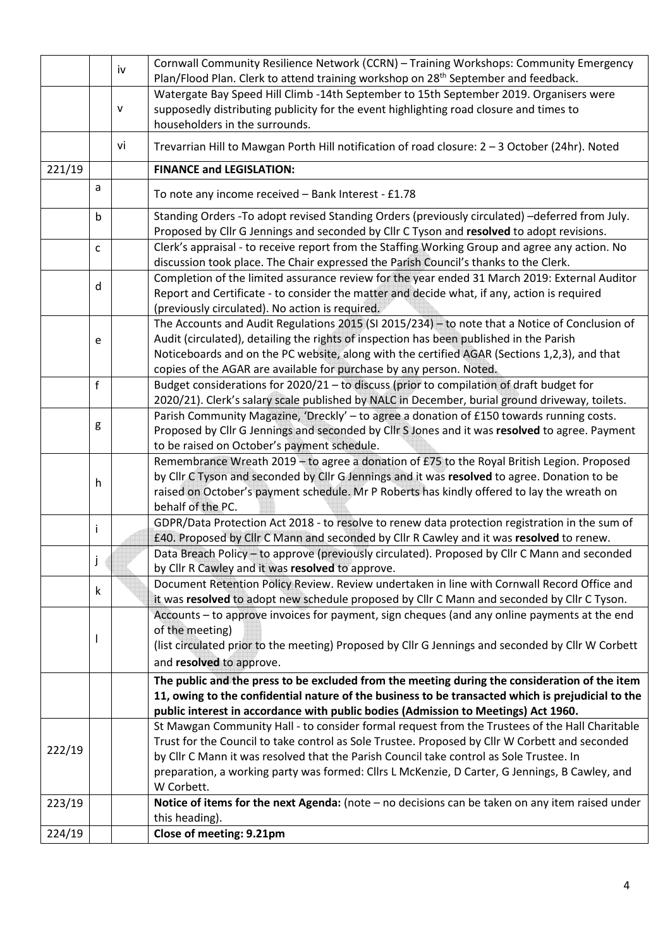|                                                                                                                                                                                                                                                 |                                                                                                                                                                                                                                                                                                                                                                                                                                                                                                                       | iv           | Cornwall Community Resilience Network (CCRN) - Training Workshops: Community Emergency<br>Plan/Flood Plan. Clerk to attend training workshop on 28 <sup>th</sup> September and feedback.                                                                                                                                                                                                                    |  |  |  |  |  |
|-------------------------------------------------------------------------------------------------------------------------------------------------------------------------------------------------------------------------------------------------|-----------------------------------------------------------------------------------------------------------------------------------------------------------------------------------------------------------------------------------------------------------------------------------------------------------------------------------------------------------------------------------------------------------------------------------------------------------------------------------------------------------------------|--------------|-------------------------------------------------------------------------------------------------------------------------------------------------------------------------------------------------------------------------------------------------------------------------------------------------------------------------------------------------------------------------------------------------------------|--|--|--|--|--|
|                                                                                                                                                                                                                                                 |                                                                                                                                                                                                                                                                                                                                                                                                                                                                                                                       | $\mathsf{V}$ | Watergate Bay Speed Hill Climb -14th September to 15th September 2019. Organisers were<br>supposedly distributing publicity for the event highlighting road closure and times to<br>householders in the surrounds.                                                                                                                                                                                          |  |  |  |  |  |
|                                                                                                                                                                                                                                                 |                                                                                                                                                                                                                                                                                                                                                                                                                                                                                                                       | vi           | Trevarrian Hill to Mawgan Porth Hill notification of road closure: 2 - 3 October (24hr). Noted                                                                                                                                                                                                                                                                                                              |  |  |  |  |  |
| 221/19                                                                                                                                                                                                                                          |                                                                                                                                                                                                                                                                                                                                                                                                                                                                                                                       |              | <b>FINANCE and LEGISLATION:</b>                                                                                                                                                                                                                                                                                                                                                                             |  |  |  |  |  |
|                                                                                                                                                                                                                                                 | a                                                                                                                                                                                                                                                                                                                                                                                                                                                                                                                     |              | To note any income received - Bank Interest - £1.78                                                                                                                                                                                                                                                                                                                                                         |  |  |  |  |  |
|                                                                                                                                                                                                                                                 | b                                                                                                                                                                                                                                                                                                                                                                                                                                                                                                                     |              | Standing Orders -To adopt revised Standing Orders (previously circulated) -deferred from July.<br>Proposed by Cllr G Jennings and seconded by Cllr C Tyson and resolved to adopt revisions.                                                                                                                                                                                                                 |  |  |  |  |  |
|                                                                                                                                                                                                                                                 | C                                                                                                                                                                                                                                                                                                                                                                                                                                                                                                                     |              | Clerk's appraisal - to receive report from the Staffing Working Group and agree any action. No<br>discussion took place. The Chair expressed the Parish Council's thanks to the Clerk.                                                                                                                                                                                                                      |  |  |  |  |  |
|                                                                                                                                                                                                                                                 | d                                                                                                                                                                                                                                                                                                                                                                                                                                                                                                                     |              | Completion of the limited assurance review for the year ended 31 March 2019: External Auditor<br>Report and Certificate - to consider the matter and decide what, if any, action is required<br>(previously circulated). No action is required.                                                                                                                                                             |  |  |  |  |  |
|                                                                                                                                                                                                                                                 | The Accounts and Audit Regulations 2015 (SI 2015/234) - to note that a Notice of Conclusion of<br>Audit (circulated), detailing the rights of inspection has been published in the Parish<br>е<br>Noticeboards and on the PC website, along with the certified AGAR (Sections 1,2,3), and that<br>copies of the AGAR are available for purchase by any person. Noted.                                                                                                                                                 |              |                                                                                                                                                                                                                                                                                                                                                                                                             |  |  |  |  |  |
| f<br>Budget considerations for 2020/21 - to discuss (prior to compilation of draft budget for<br>2020/21). Clerk's salary scale published by NALC in December, burial ground driveway, toilets.                                                 |                                                                                                                                                                                                                                                                                                                                                                                                                                                                                                                       |              |                                                                                                                                                                                                                                                                                                                                                                                                             |  |  |  |  |  |
| Parish Community Magazine, 'Dreckly' - to agree a donation of £150 towards running costs.<br>g<br>Proposed by Cllr G Jennings and seconded by Cllr S Jones and it was resolved to agree. Payment<br>to be raised on October's payment schedule. |                                                                                                                                                                                                                                                                                                                                                                                                                                                                                                                       |              |                                                                                                                                                                                                                                                                                                                                                                                                             |  |  |  |  |  |
|                                                                                                                                                                                                                                                 | Remembrance Wreath 2019 - to agree a donation of £75 to the Royal British Legion. Proposed<br>by Cllr C Tyson and seconded by Cllr G Jennings and it was resolved to agree. Donation to be<br>h<br>raised on October's payment schedule. Mr P Roberts has kindly offered to lay the wreath on<br>behalf of the PC.<br>GDPR/Data Protection Act 2018 - to resolve to renew data protection registration in the sum of<br>Ĺ<br>£40. Proposed by Cllr C Mann and seconded by Cllr R Cawley and it was resolved to renew. |              |                                                                                                                                                                                                                                                                                                                                                                                                             |  |  |  |  |  |
|                                                                                                                                                                                                                                                 |                                                                                                                                                                                                                                                                                                                                                                                                                                                                                                                       |              |                                                                                                                                                                                                                                                                                                                                                                                                             |  |  |  |  |  |
|                                                                                                                                                                                                                                                 |                                                                                                                                                                                                                                                                                                                                                                                                                                                                                                                       |              | Data Breach Policy - to approve (previously circulated). Proposed by Cllr C Mann and seconded<br>by Cllr R Cawley and it was resolved to approve.                                                                                                                                                                                                                                                           |  |  |  |  |  |
|                                                                                                                                                                                                                                                 | k                                                                                                                                                                                                                                                                                                                                                                                                                                                                                                                     |              | Document Retention Policy Review. Review undertaken in line with Cornwall Record Office and<br>it was resolved to adopt new schedule proposed by Cllr C Mann and seconded by Cllr C Tyson.                                                                                                                                                                                                                  |  |  |  |  |  |
|                                                                                                                                                                                                                                                 |                                                                                                                                                                                                                                                                                                                                                                                                                                                                                                                       |              | Accounts – to approve invoices for payment, sign cheques (and any online payments at the end<br>of the meeting)<br>(list circulated prior to the meeting) Proposed by Cllr G Jennings and seconded by Cllr W Corbett<br>and resolved to approve.                                                                                                                                                            |  |  |  |  |  |
|                                                                                                                                                                                                                                                 |                                                                                                                                                                                                                                                                                                                                                                                                                                                                                                                       |              | The public and the press to be excluded from the meeting during the consideration of the item<br>11, owing to the confidential nature of the business to be transacted which is prejudicial to the<br>public interest in accordance with public bodies (Admission to Meetings) Act 1960.                                                                                                                    |  |  |  |  |  |
| 222/19                                                                                                                                                                                                                                          |                                                                                                                                                                                                                                                                                                                                                                                                                                                                                                                       |              | St Mawgan Community Hall - to consider formal request from the Trustees of the Hall Charitable<br>Trust for the Council to take control as Sole Trustee. Proposed by Cllr W Corbett and seconded<br>by Cllr C Mann it was resolved that the Parish Council take control as Sole Trustee. In<br>preparation, a working party was formed: Cllrs L McKenzie, D Carter, G Jennings, B Cawley, and<br>W Corbett. |  |  |  |  |  |
| 223/19                                                                                                                                                                                                                                          |                                                                                                                                                                                                                                                                                                                                                                                                                                                                                                                       |              | Notice of items for the next Agenda: (note $-$ no decisions can be taken on any item raised under<br>this heading).                                                                                                                                                                                                                                                                                         |  |  |  |  |  |
| 224/19                                                                                                                                                                                                                                          |                                                                                                                                                                                                                                                                                                                                                                                                                                                                                                                       |              | Close of meeting: 9.21pm                                                                                                                                                                                                                                                                                                                                                                                    |  |  |  |  |  |